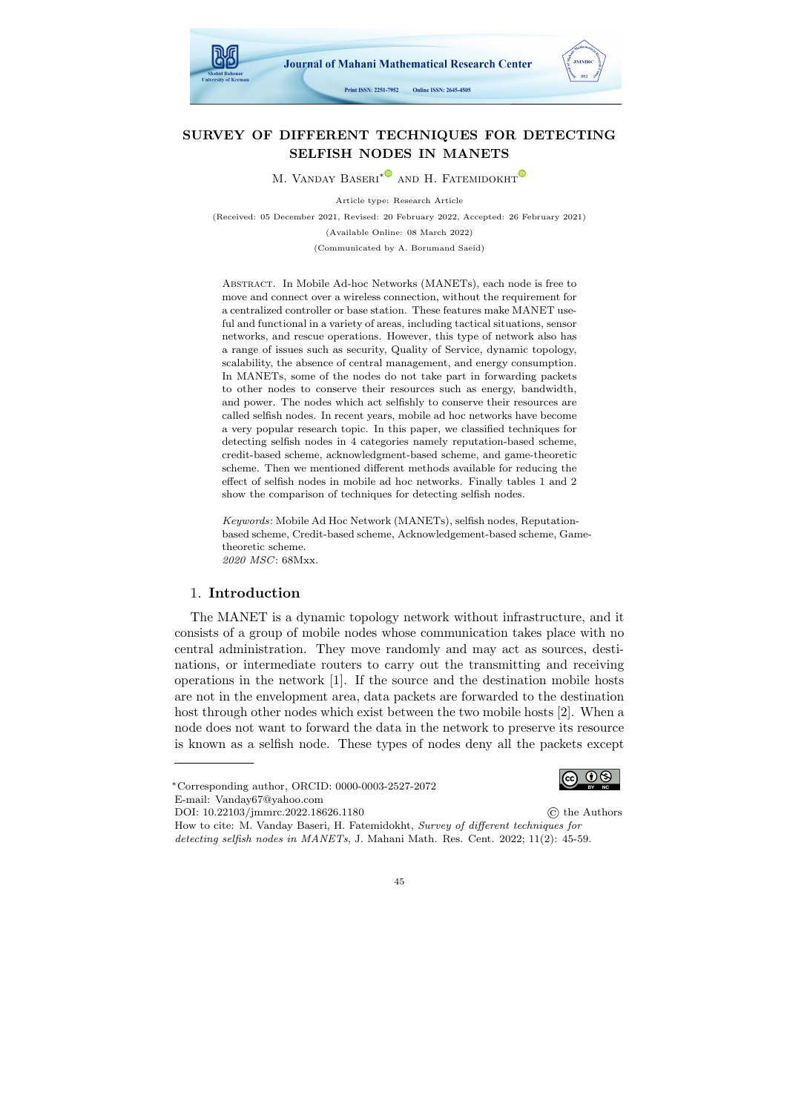

# SURVEY OF DIFFERENT TECHNIQUES FOR DETECTING SELFISH NODES IN MANETS

M. VANDAY BASERI<sup>\*</sub><sup>®</sup> AND H. FATEMIDOKHT<sup>®</sup></sup>

Article type: Research Article (Received: 05 December 2021, Revised: 20 February 2022, Accepted: 26 February 2021) (Available Online: 08 March 2022)

(Communicated by A. Borumand Saeid)

ABSTRACT. In Mobile Ad-hoc Networks (MANETs), each node is free to move and connect over a wireless connection, without the requirement for a centralized controller or base station. These features make MANET useful and functional in a variety of areas, including tactical situations, sensor networks, and rescue operations. However, this type of network also has a range of issues such as security, Quality of Service, dynamic topology, scalability, the absence of central management, and energy consumption. In MANETs, some of the nodes do not take part in forwarding packets to other nodes to conserve their resources such as energy, bandwidth, and power. The nodes which act selfishly to conserve their resources are called selfish nodes. In recent years, mobile ad hoc networks have become a very popular research topic. In this paper, we classified techniques for detecting selfish nodes in 4 categories namely reputation-based scheme, credit-based scheme, acknowledgment-based scheme, and game-theoretic scheme. Then we mentioned different methods available for reducing the effect of selfish nodes in mobile ad hoc networks. Finally tables 1 and 2 show the comparison of techniques for detecting selfish nodes.

Keywords: Mobile Ad Hoc Network (MANETs), selfish nodes, Reputationbased scheme, Credit-based scheme, Acknowledgement-based scheme, Gametheoretic scheme. 2020 MSC: 68Mxx.

#### 1. Introduction

The MANET is a dynamic topology network without infrastructure, and it consists of a group of mobile nodes whose communication takes place with no central administration. They move randomly and may act as sources, destinations, or intermediate routers to carry out the transmitting and receiving operations in the network [1]. If the source and the destination mobile hosts are not in the envelopment area, data packets are forwarded to the destination host through other nodes which exist between the two mobile hosts [2]. When a node does not want to forward the data in the network to preserve its resource is known as a selfish node. These types of nodes deny all the packets except

How to cite: M. Vanday Baseri, H. Fatemidokht, Survey of different techniques for detecting selfish nodes in MANETs, J. Mahani Math. Res. Cent. 2022; 11(2): 45-59.



<sup>∗</sup>Corresponding author, ORCID: 0000-0003-2527-2072 E-mail: Vanday67@yahoo.com

DOI: 10.22103/jmmrc.2022.18626.1180 © the Authors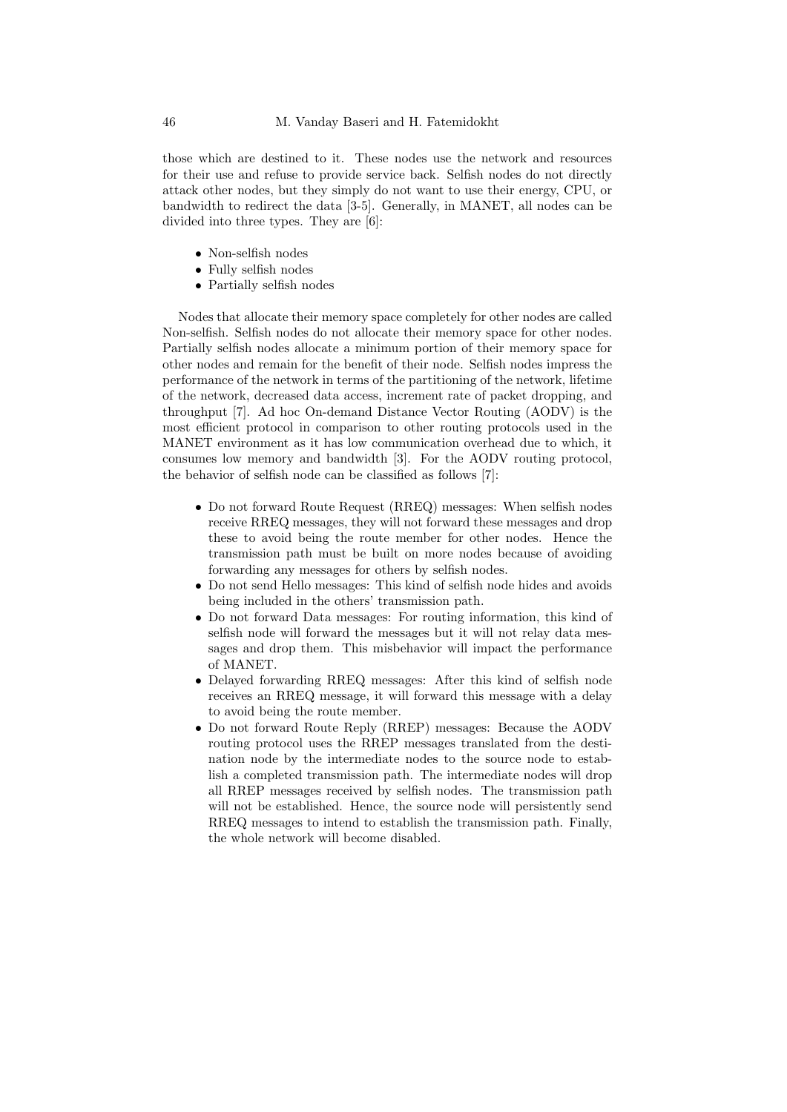those which are destined to it. These nodes use the network and resources for their use and refuse to provide service back. Selfish nodes do not directly attack other nodes, but they simply do not want to use their energy, CPU, or bandwidth to redirect the data [3-5]. Generally, in MANET, all nodes can be divided into three types. They are [6]:

- Non-selfish nodes
- Fully selfish nodes
- Partially selfish nodes

Nodes that allocate their memory space completely for other nodes are called Non-selfish. Selfish nodes do not allocate their memory space for other nodes. Partially selfish nodes allocate a minimum portion of their memory space for other nodes and remain for the benefit of their node. Selfish nodes impress the performance of the network in terms of the partitioning of the network, lifetime of the network, decreased data access, increment rate of packet dropping, and throughput [7]. Ad hoc On-demand Distance Vector Routing (AODV) is the most efficient protocol in comparison to other routing protocols used in the MANET environment as it has low communication overhead due to which, it consumes low memory and bandwidth [3]. For the AODV routing protocol, the behavior of selfish node can be classified as follows [7]:

- Do not forward Route Request (RREQ) messages: When selfish nodes receive RREQ messages, they will not forward these messages and drop these to avoid being the route member for other nodes. Hence the transmission path must be built on more nodes because of avoiding forwarding any messages for others by selfish nodes.
- Do not send Hello messages: This kind of selfish node hides and avoids being included in the others' transmission path.
- Do not forward Data messages: For routing information, this kind of selfish node will forward the messages but it will not relay data messages and drop them. This misbehavior will impact the performance of MANET.
- Delayed forwarding RREQ messages: After this kind of selfish node receives an RREQ message, it will forward this message with a delay to avoid being the route member.
- Do not forward Route Reply (RREP) messages: Because the AODV routing protocol uses the RREP messages translated from the destination node by the intermediate nodes to the source node to establish a completed transmission path. The intermediate nodes will drop all RREP messages received by selfish nodes. The transmission path will not be established. Hence, the source node will persistently send RREQ messages to intend to establish the transmission path. Finally, the whole network will become disabled.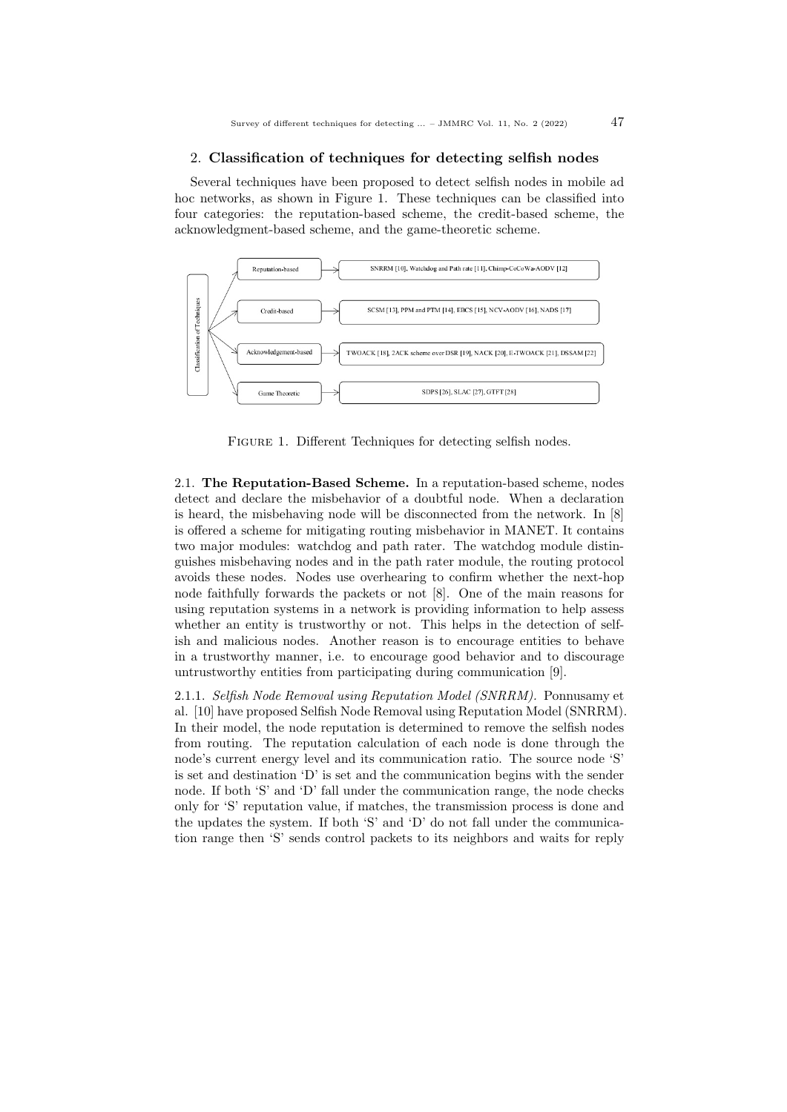### 2. Classification of techniques for detecting selfish nodes

Several techniques have been proposed to detect selfish nodes in mobile ad hoc networks, as shown in Figure 1. These techniques can be classified into four categories: the reputation-based scheme, the credit-based scheme, the acknowledgment-based scheme, and the game-theoretic scheme.



FIGURE 1. Different Techniques for detecting selfish nodes.

2.1. The Reputation-Based Scheme. In a reputation-based scheme, nodes detect and declare the misbehavior of a doubtful node. When a declaration is heard, the misbehaving node will be disconnected from the network. In [8] is offered a scheme for mitigating routing misbehavior in MANET. It contains two major modules: watchdog and path rater. The watchdog module distinguishes misbehaving nodes and in the path rater module, the routing protocol avoids these nodes. Nodes use overhearing to confirm whether the next-hop node faithfully forwards the packets or not [8]. One of the main reasons for using reputation systems in a network is providing information to help assess whether an entity is trustworthy or not. This helps in the detection of selfish and malicious nodes. Another reason is to encourage entities to behave in a trustworthy manner, i.e. to encourage good behavior and to discourage untrustworthy entities from participating during communication [9].

2.1.1. Selfish Node Removal using Reputation Model (SNRRM). Ponnusamy et al. [10] have proposed Selfish Node Removal using Reputation Model (SNRRM). In their model, the node reputation is determined to remove the selfish nodes from routing. The reputation calculation of each node is done through the node's current energy level and its communication ratio. The source node 'S' is set and destination 'D' is set and the communication begins with the sender node. If both 'S' and 'D' fall under the communication range, the node checks only for 'S' reputation value, if matches, the transmission process is done and the updates the system. If both 'S' and 'D' do not fall under the communication range then 'S' sends control packets to its neighbors and waits for reply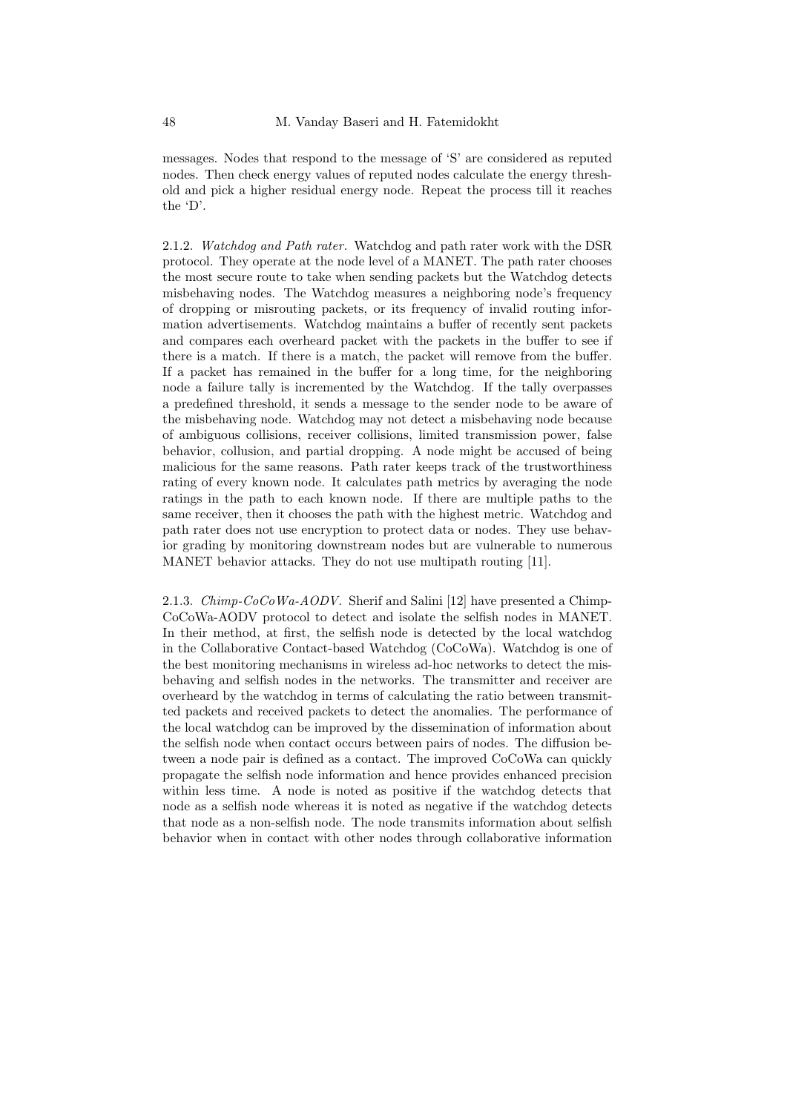messages. Nodes that respond to the message of 'S' are considered as reputed nodes. Then check energy values of reputed nodes calculate the energy threshold and pick a higher residual energy node. Repeat the process till it reaches the 'D'.

2.1.2. Watchdog and Path rater. Watchdog and path rater work with the DSR protocol. They operate at the node level of a MANET. The path rater chooses the most secure route to take when sending packets but the Watchdog detects misbehaving nodes. The Watchdog measures a neighboring node's frequency of dropping or misrouting packets, or its frequency of invalid routing information advertisements. Watchdog maintains a buffer of recently sent packets and compares each overheard packet with the packets in the buffer to see if there is a match. If there is a match, the packet will remove from the buffer. If a packet has remained in the buffer for a long time, for the neighboring node a failure tally is incremented by the Watchdog. If the tally overpasses a predefined threshold, it sends a message to the sender node to be aware of the misbehaving node. Watchdog may not detect a misbehaving node because of ambiguous collisions, receiver collisions, limited transmission power, false behavior, collusion, and partial dropping. A node might be accused of being malicious for the same reasons. Path rater keeps track of the trustworthiness rating of every known node. It calculates path metrics by averaging the node ratings in the path to each known node. If there are multiple paths to the same receiver, then it chooses the path with the highest metric. Watchdog and path rater does not use encryption to protect data or nodes. They use behavior grading by monitoring downstream nodes but are vulnerable to numerous MANET behavior attacks. They do not use multipath routing [11].

2.1.3. Chimp-CoCoWa-AODV. Sherif and Salini [12] have presented a Chimp-CoCoWa-AODV protocol to detect and isolate the selfish nodes in MANET. In their method, at first, the selfish node is detected by the local watchdog in the Collaborative Contact-based Watchdog (CoCoWa). Watchdog is one of the best monitoring mechanisms in wireless ad-hoc networks to detect the misbehaving and selfish nodes in the networks. The transmitter and receiver are overheard by the watchdog in terms of calculating the ratio between transmitted packets and received packets to detect the anomalies. The performance of the local watchdog can be improved by the dissemination of information about the selfish node when contact occurs between pairs of nodes. The diffusion between a node pair is defined as a contact. The improved CoCoWa can quickly propagate the selfish node information and hence provides enhanced precision within less time. A node is noted as positive if the watchdog detects that node as a selfish node whereas it is noted as negative if the watchdog detects that node as a non-selfish node. The node transmits information about selfish behavior when in contact with other nodes through collaborative information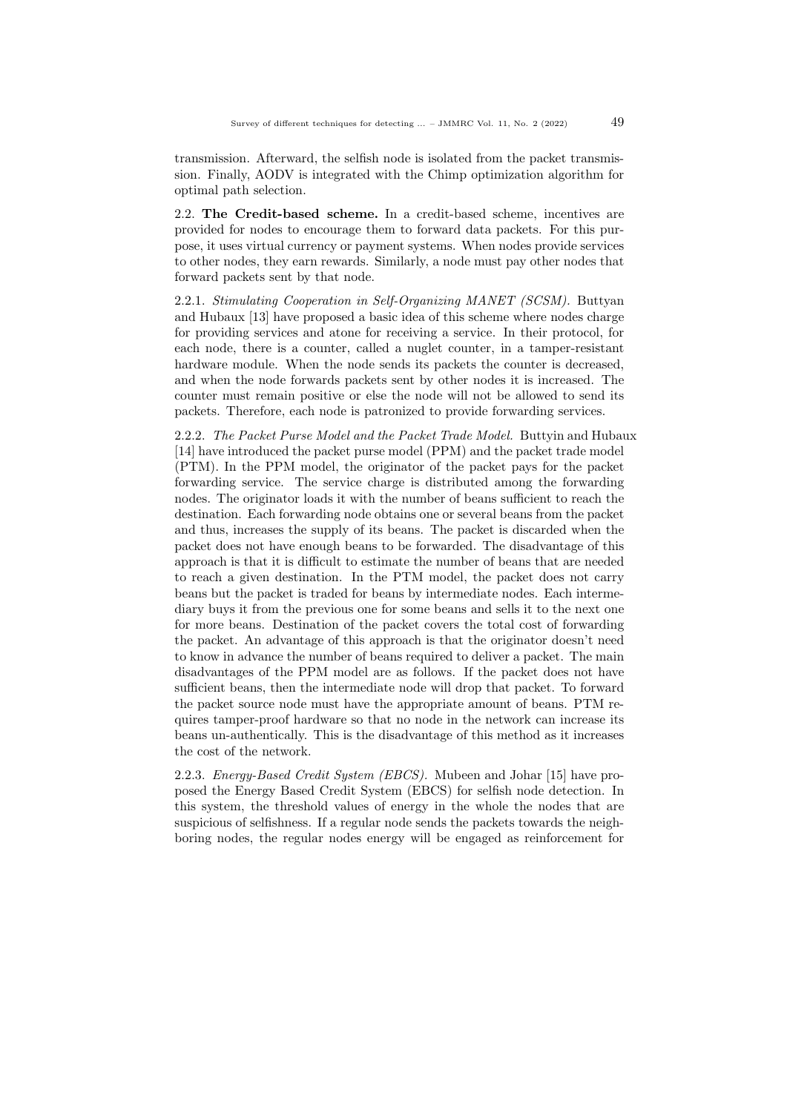transmission. Afterward, the selfish node is isolated from the packet transmission. Finally, AODV is integrated with the Chimp optimization algorithm for optimal path selection.

2.2. The Credit-based scheme. In a credit-based scheme, incentives are provided for nodes to encourage them to forward data packets. For this purpose, it uses virtual currency or payment systems. When nodes provide services to other nodes, they earn rewards. Similarly, a node must pay other nodes that forward packets sent by that node.

2.2.1. Stimulating Cooperation in Self-Organizing MANET (SCSM). Buttyan and Hubaux [13] have proposed a basic idea of this scheme where nodes charge for providing services and atone for receiving a service. In their protocol, for each node, there is a counter, called a nuglet counter, in a tamper-resistant hardware module. When the node sends its packets the counter is decreased, and when the node forwards packets sent by other nodes it is increased. The counter must remain positive or else the node will not be allowed to send its packets. Therefore, each node is patronized to provide forwarding services.

2.2.2. The Packet Purse Model and the Packet Trade Model. Buttyin and Hubaux [14] have introduced the packet purse model (PPM) and the packet trade model (PTM). In the PPM model, the originator of the packet pays for the packet forwarding service. The service charge is distributed among the forwarding nodes. The originator loads it with the number of beans sufficient to reach the destination. Each forwarding node obtains one or several beans from the packet and thus, increases the supply of its beans. The packet is discarded when the packet does not have enough beans to be forwarded. The disadvantage of this approach is that it is difficult to estimate the number of beans that are needed to reach a given destination. In the PTM model, the packet does not carry beans but the packet is traded for beans by intermediate nodes. Each intermediary buys it from the previous one for some beans and sells it to the next one for more beans. Destination of the packet covers the total cost of forwarding the packet. An advantage of this approach is that the originator doesn't need to know in advance the number of beans required to deliver a packet. The main disadvantages of the PPM model are as follows. If the packet does not have sufficient beans, then the intermediate node will drop that packet. To forward the packet source node must have the appropriate amount of beans. PTM requires tamper-proof hardware so that no node in the network can increase its beans un-authentically. This is the disadvantage of this method as it increases the cost of the network.

2.2.3. Energy-Based Credit System (EBCS). Mubeen and Johar [15] have proposed the Energy Based Credit System (EBCS) for selfish node detection. In this system, the threshold values of energy in the whole the nodes that are suspicious of selfishness. If a regular node sends the packets towards the neighboring nodes, the regular nodes energy will be engaged as reinforcement for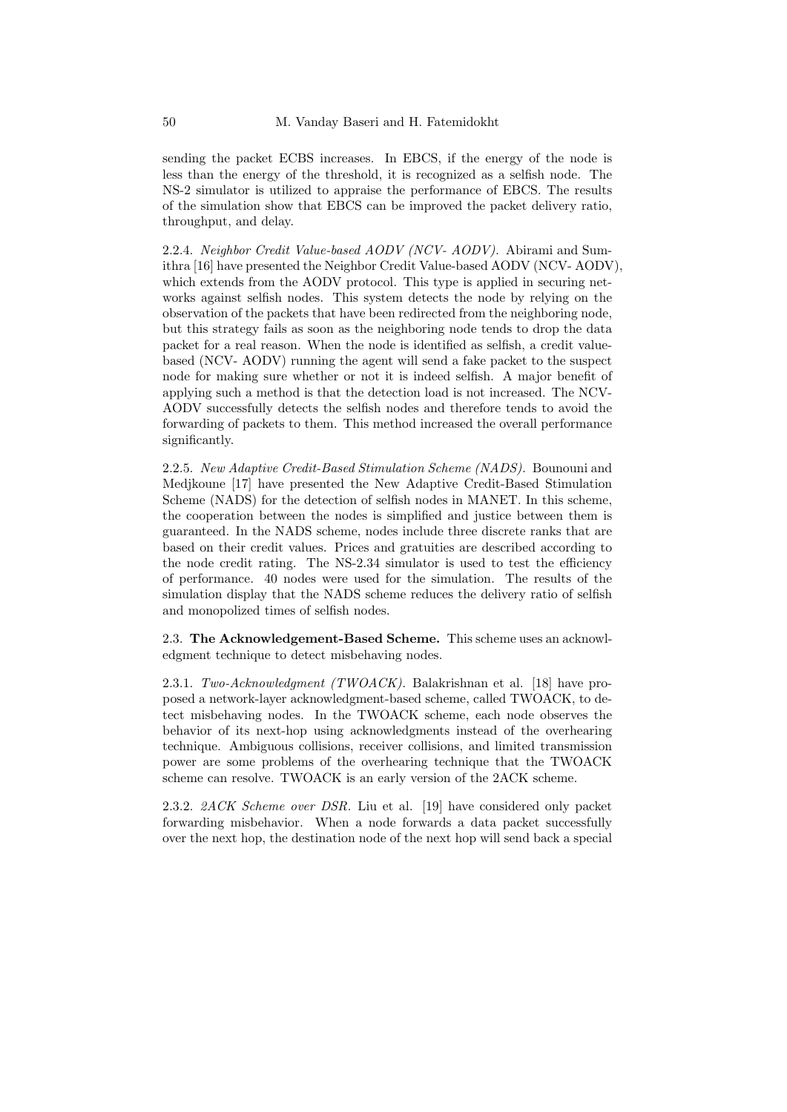sending the packet ECBS increases. In EBCS, if the energy of the node is less than the energy of the threshold, it is recognized as a selfish node. The NS-2 simulator is utilized to appraise the performance of EBCS. The results of the simulation show that EBCS can be improved the packet delivery ratio, throughput, and delay.

2.2.4. Neighbor Credit Value-based AODV (NCV- AODV). Abirami and Sumithra [16] have presented the Neighbor Credit Value-based AODV (NCV- AODV), which extends from the AODV protocol. This type is applied in securing networks against selfish nodes. This system detects the node by relying on the observation of the packets that have been redirected from the neighboring node, but this strategy fails as soon as the neighboring node tends to drop the data packet for a real reason. When the node is identified as selfish, a credit valuebased (NCV- AODV) running the agent will send a fake packet to the suspect node for making sure whether or not it is indeed selfish. A major benefit of applying such a method is that the detection load is not increased. The NCV-AODV successfully detects the selfish nodes and therefore tends to avoid the forwarding of packets to them. This method increased the overall performance significantly.

2.2.5. New Adaptive Credit-Based Stimulation Scheme (NADS). Bounouni and Medjkoune [17] have presented the New Adaptive Credit-Based Stimulation Scheme (NADS) for the detection of selfish nodes in MANET. In this scheme, the cooperation between the nodes is simplified and justice between them is guaranteed. In the NADS scheme, nodes include three discrete ranks that are based on their credit values. Prices and gratuities are described according to the node credit rating. The NS-2.34 simulator is used to test the efficiency of performance. 40 nodes were used for the simulation. The results of the simulation display that the NADS scheme reduces the delivery ratio of selfish and monopolized times of selfish nodes.

2.3. The Acknowledgement-Based Scheme. This scheme uses an acknowledgment technique to detect misbehaving nodes.

2.3.1. Two-Acknowledgment (TWOACK). Balakrishnan et al. [18] have proposed a network-layer acknowledgment-based scheme, called TWOACK, to detect misbehaving nodes. In the TWOACK scheme, each node observes the behavior of its next-hop using acknowledgments instead of the overhearing technique. Ambiguous collisions, receiver collisions, and limited transmission power are some problems of the overhearing technique that the TWOACK scheme can resolve. TWOACK is an early version of the 2ACK scheme.

2.3.2. 2ACK Scheme over DSR. Liu et al. [19] have considered only packet forwarding misbehavior. When a node forwards a data packet successfully over the next hop, the destination node of the next hop will send back a special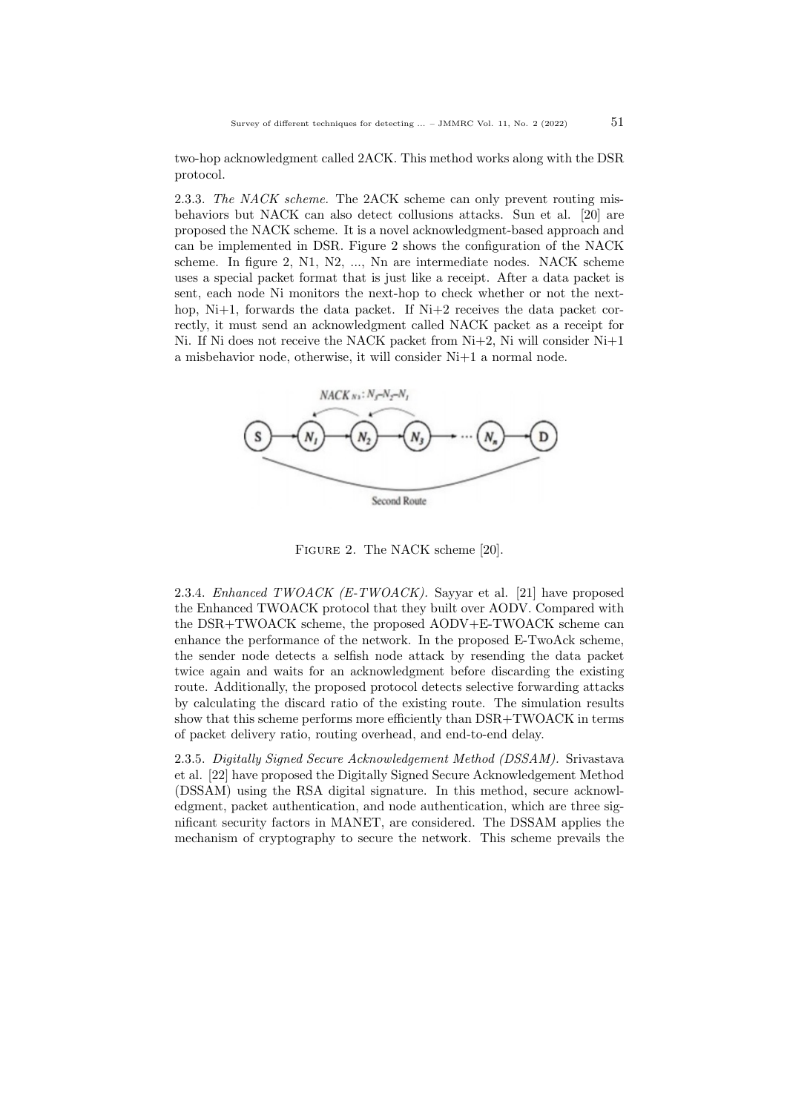two-hop acknowledgment called 2ACK. This method works along with the DSR protocol.

2.3.3. The NACK scheme. The 2ACK scheme can only prevent routing misbehaviors but NACK can also detect collusions attacks. Sun et al. [20] are proposed the NACK scheme. It is a novel acknowledgment-based approach and can be implemented in DSR. Figure 2 shows the configuration of the NACK scheme. In figure 2, N1, N2, ..., Nn are intermediate nodes. NACK scheme uses a special packet format that is just like a receipt. After a data packet is sent, each node Ni monitors the next-hop to check whether or not the nexthop, Ni+1, forwards the data packet. If Ni+2 receives the data packet correctly, it must send an acknowledgment called NACK packet as a receipt for Ni. If Ni does not receive the NACK packet from  $Ni+2$ , Ni will consider  $Ni+1$ a misbehavior node, otherwise, it will consider Ni+1 a normal node.



Figure 2. The NACK scheme [20].

2.3.4. Enhanced TWOACK (E-TWOACK). Sayyar et al. [21] have proposed the Enhanced TWOACK protocol that they built over AODV. Compared with the DSR+TWOACK scheme, the proposed AODV+E-TWOACK scheme can enhance the performance of the network. In the proposed E-TwoAck scheme, the sender node detects a selfish node attack by resending the data packet twice again and waits for an acknowledgment before discarding the existing route. Additionally, the proposed protocol detects selective forwarding attacks by calculating the discard ratio of the existing route. The simulation results show that this scheme performs more efficiently than DSR+TWOACK in terms of packet delivery ratio, routing overhead, and end-to-end delay.

2.3.5. Digitally Signed Secure Acknowledgement Method (DSSAM). Srivastava et al. [22] have proposed the Digitally Signed Secure Acknowledgement Method (DSSAM) using the RSA digital signature. In this method, secure acknowledgment, packet authentication, and node authentication, which are three significant security factors in MANET, are considered. The DSSAM applies the mechanism of cryptography to secure the network. This scheme prevails the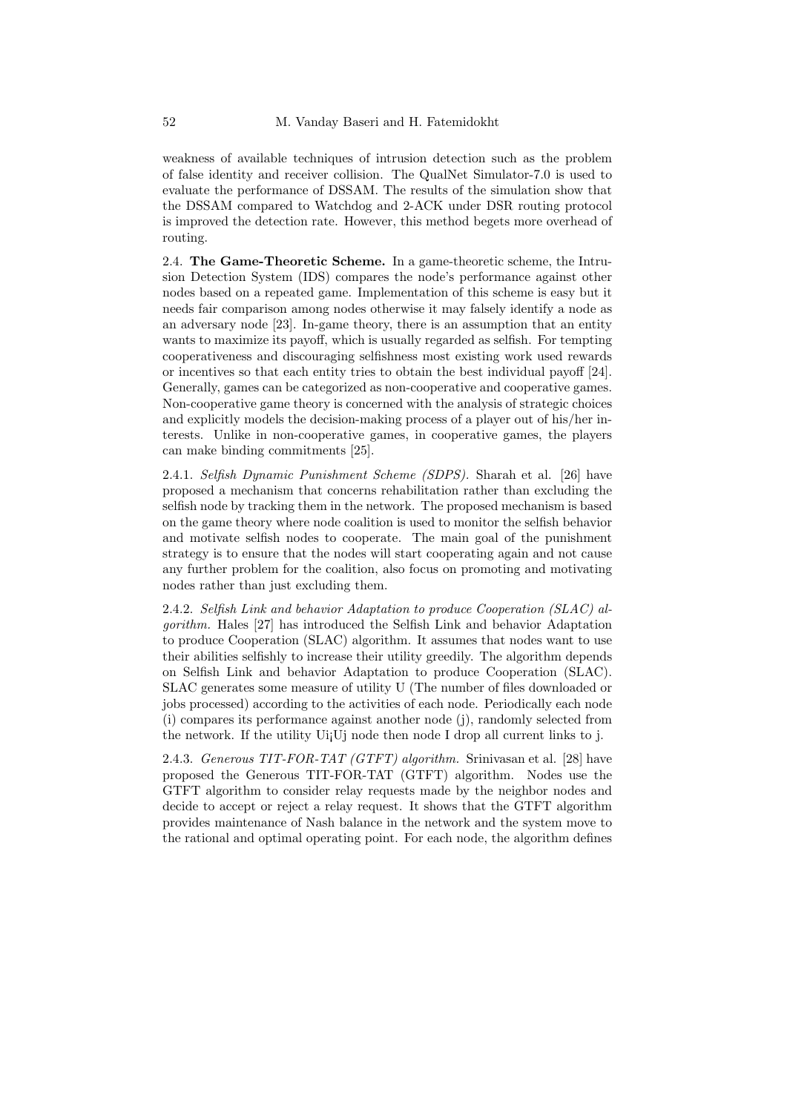weakness of available techniques of intrusion detection such as the problem of false identity and receiver collision. The QualNet Simulator-7.0 is used to evaluate the performance of DSSAM. The results of the simulation show that the DSSAM compared to Watchdog and 2-ACK under DSR routing protocol is improved the detection rate. However, this method begets more overhead of routing.

2.4. The Game-Theoretic Scheme. In a game-theoretic scheme, the Intrusion Detection System (IDS) compares the node's performance against other nodes based on a repeated game. Implementation of this scheme is easy but it needs fair comparison among nodes otherwise it may falsely identify a node as an adversary node [23]. In-game theory, there is an assumption that an entity wants to maximize its payoff, which is usually regarded as selfish. For tempting cooperativeness and discouraging selfishness most existing work used rewards or incentives so that each entity tries to obtain the best individual payoff [24]. Generally, games can be categorized as non-cooperative and cooperative games. Non-cooperative game theory is concerned with the analysis of strategic choices and explicitly models the decision-making process of a player out of his/her interests. Unlike in non-cooperative games, in cooperative games, the players can make binding commitments [25].

2.4.1. Selfish Dynamic Punishment Scheme (SDPS). Sharah et al. [26] have proposed a mechanism that concerns rehabilitation rather than excluding the selfish node by tracking them in the network. The proposed mechanism is based on the game theory where node coalition is used to monitor the selfish behavior and motivate selfish nodes to cooperate. The main goal of the punishment strategy is to ensure that the nodes will start cooperating again and not cause any further problem for the coalition, also focus on promoting and motivating nodes rather than just excluding them.

2.4.2. Selfish Link and behavior Adaptation to produce Cooperation (SLAC) algorithm. Hales [27] has introduced the Selfish Link and behavior Adaptation to produce Cooperation (SLAC) algorithm. It assumes that nodes want to use their abilities selfishly to increase their utility greedily. The algorithm depends on Selfish Link and behavior Adaptation to produce Cooperation (SLAC). SLAC generates some measure of utility U (The number of files downloaded or jobs processed) according to the activities of each node. Periodically each node (i) compares its performance against another node (j), randomly selected from the network. If the utility Ui¡Uj node then node I drop all current links to j.

2.4.3. Generous TIT-FOR-TAT (GTFT) algorithm. Srinivasan et al. [28] have proposed the Generous TIT-FOR-TAT (GTFT) algorithm. Nodes use the GTFT algorithm to consider relay requests made by the neighbor nodes and decide to accept or reject a relay request. It shows that the GTFT algorithm provides maintenance of Nash balance in the network and the system move to the rational and optimal operating point. For each node, the algorithm defines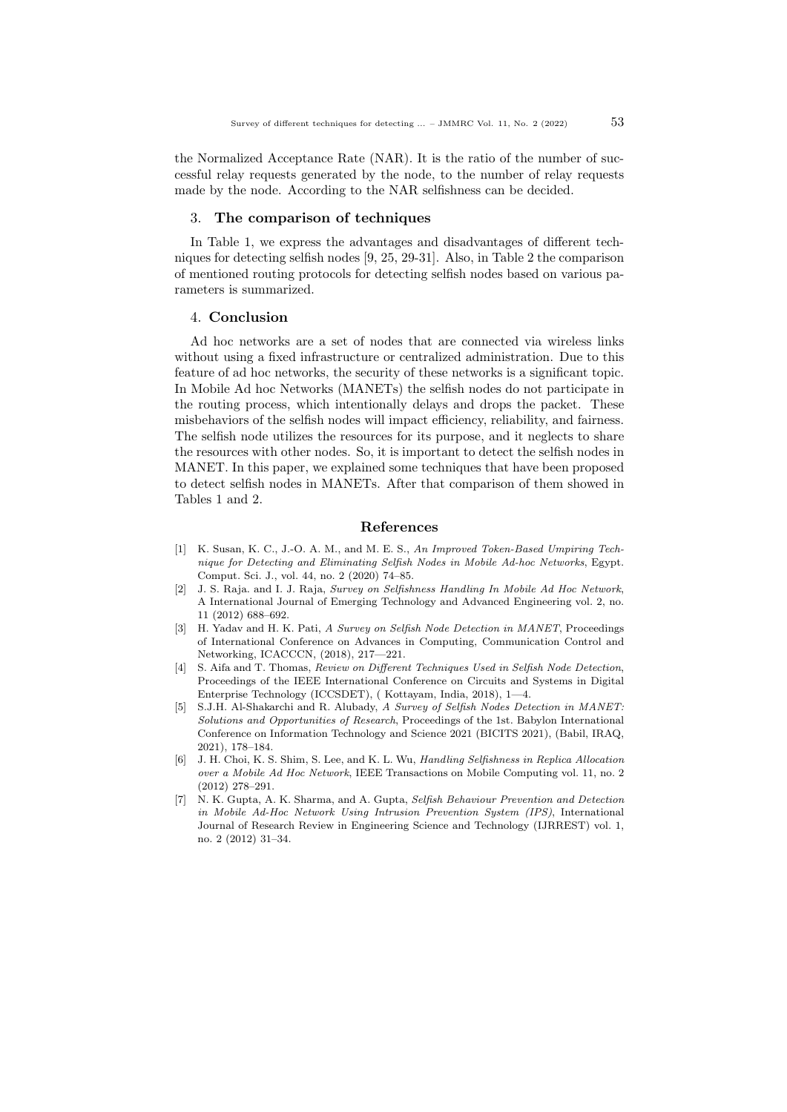the Normalized Acceptance Rate (NAR). It is the ratio of the number of successful relay requests generated by the node, to the number of relay requests made by the node. According to the NAR selfishness can be decided.

## 3. The comparison of techniques

In Table 1, we express the advantages and disadvantages of different techniques for detecting selfish nodes [9, 25, 29-31]. Also, in Table 2 the comparison of mentioned routing protocols for detecting selfish nodes based on various parameters is summarized.

### 4. Conclusion

Ad hoc networks are a set of nodes that are connected via wireless links without using a fixed infrastructure or centralized administration. Due to this feature of ad hoc networks, the security of these networks is a significant topic. In Mobile Ad hoc Networks (MANETs) the selfish nodes do not participate in the routing process, which intentionally delays and drops the packet. These misbehaviors of the selfish nodes will impact efficiency, reliability, and fairness. The selfish node utilizes the resources for its purpose, and it neglects to share the resources with other nodes. So, it is important to detect the selfish nodes in MANET. In this paper, we explained some techniques that have been proposed to detect selfish nodes in MANETs. After that comparison of them showed in Tables 1 and 2.

## References

- [1] K. Susan, K. C., J.-O. A. M., and M. E. S., An Improved Token-Based Umpiring Technique for Detecting and Eliminating Selfish Nodes in Mobile Ad-hoc Networks, Egypt. Comput. Sci. J., vol. 44, no. 2 (2020) 74–85.
- [2] J. S. Raja. and I. J. Raja, Survey on Selfishness Handling In Mobile Ad Hoc Network, A International Journal of Emerging Technology and Advanced Engineering vol. 2, no. 11 (2012) 688–692.
- [3] H. Yadav and H. K. Pati, A Survey on Selfish Node Detection in MANET, Proceedings of International Conference on Advances in Computing, Communication Control and Networking, ICACCCN, (2018), 217—221.
- [4] S. Aifa and T. Thomas, Review on Different Techniques Used in Selfish Node Detection, Proceedings of the IEEE International Conference on Circuits and Systems in Digital Enterprise Technology (ICCSDET), ( Kottayam, India, 2018), 1—4.
- [5] S.J.H. Al-Shakarchi and R. Alubady, A Survey of Selfish Nodes Detection in MANET: Solutions and Opportunities of Research, Proceedings of the 1st. Babylon International Conference on Information Technology and Science 2021 (BICITS 2021), (Babil, IRAQ, 2021), 178–184.
- [6] J. H. Choi, K. S. Shim, S. Lee, and K. L. Wu, Handling Selfishness in Replica Allocation over a Mobile Ad Hoc Network, IEEE Transactions on Mobile Computing vol. 11, no. 2 (2012) 278–291.
- [7] N. K. Gupta, A. K. Sharma, and A. Gupta, Selfish Behaviour Prevention and Detection in Mobile Ad-Hoc Network Using Intrusion Prevention System (IPS), International Journal of Research Review in Engineering Science and Technology (IJRREST) vol. 1, no. 2 (2012) 31–34.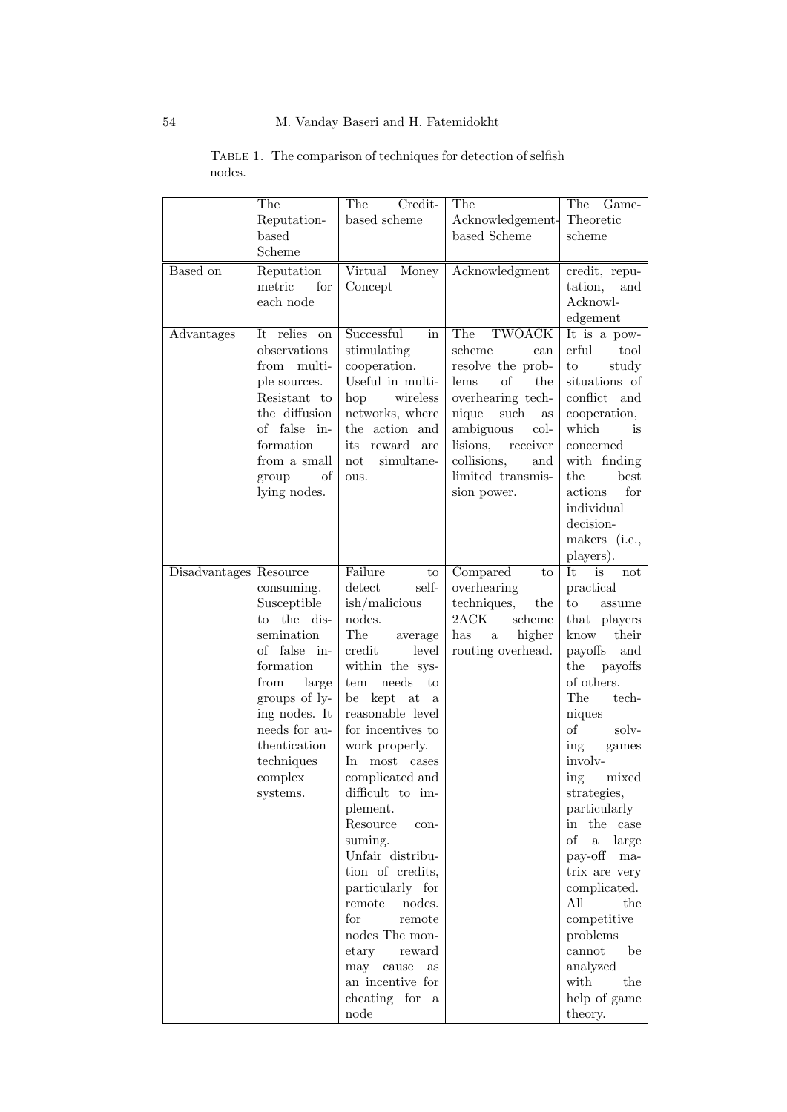|                        | The<br>Reputation-<br>based<br>Scheme                                                                                                                                                                        | The<br>Credit-<br>based scheme                                                                                                                                                                                                                                                                                                                                                                                                                                                                                                                               | The<br>Acknowledgement-<br>based Scheme                                                                                                                                                                                     | The<br>Game-<br>Theoretic<br>scheme                                                                                                                                                                                                                                                                                                                                                                                                                                                        |
|------------------------|--------------------------------------------------------------------------------------------------------------------------------------------------------------------------------------------------------------|--------------------------------------------------------------------------------------------------------------------------------------------------------------------------------------------------------------------------------------------------------------------------------------------------------------------------------------------------------------------------------------------------------------------------------------------------------------------------------------------------------------------------------------------------------------|-----------------------------------------------------------------------------------------------------------------------------------------------------------------------------------------------------------------------------|--------------------------------------------------------------------------------------------------------------------------------------------------------------------------------------------------------------------------------------------------------------------------------------------------------------------------------------------------------------------------------------------------------------------------------------------------------------------------------------------|
| Based on               | Reputation<br>metric<br>for<br>each node                                                                                                                                                                     | Virtual<br>Money<br>Concept                                                                                                                                                                                                                                                                                                                                                                                                                                                                                                                                  | Acknowledgment                                                                                                                                                                                                              | credit, repu-<br>tation,<br>and<br>Acknowl-<br>edgement                                                                                                                                                                                                                                                                                                                                                                                                                                    |
| Advantages             | It relies on<br>observations<br>from<br>multi-<br>ple sources.<br>Resistant to<br>the diffusion<br>of false in-<br>formation<br>from a small<br>of<br>group<br>lying nodes.                                  | Successful<br>in<br>stimulating<br>cooperation.<br>Useful in multi-<br>hop<br>wireless<br>networks, where<br>the action and<br>its<br>reward are<br>simultane-<br>not<br>ous.                                                                                                                                                                                                                                                                                                                                                                                | The<br>TWOACK<br>scheme<br>can<br>resolve the prob-<br>of<br>lems<br>the<br>overhearing tech-<br>nique<br>such<br>as<br>ambiguous<br>col-<br>lisions,<br>receiver<br>collisions,<br>and<br>limited transmis-<br>sion power. | It is a pow-<br>erful<br>tool<br>study<br>to<br>situations of<br>conflict and<br>cooperation,<br>which<br>is<br>concerned<br>with finding<br>the<br>best<br>actions<br>for<br>individual<br>decision-<br>makers (i.e.,<br>players).                                                                                                                                                                                                                                                        |
| Disadvantages Resource | consuming.<br>Susceptible<br>to the dis-<br>semination<br>of false in-<br>formation<br>from<br>large<br>groups of ly-<br>ing nodes. It<br>needs for au-<br>thentication<br>techniques<br>complex<br>systems. | Failure<br>to<br>$\det$ ect<br>self-<br>$\sin/malicious$<br>nodes.<br>The<br>average<br>credit<br>level<br>within the sys-<br>needs<br>to<br>tem<br>be kept at<br>a<br>reasonable level<br>for incentives to<br>work properly.<br>In most cases<br>complicated and<br>difficult to im-<br>plement.<br>Resource<br>con-<br>suming.<br>Unfair distribu-<br>tion of credits,<br>particularly for<br>remote<br>nodes.<br>for<br>remote<br>nodes The mon-<br>$_{\rm{etary}}$<br>reward<br>may<br>cause<br><b>as</b><br>an incentive for<br>cheating for a<br>node | Compared<br>to<br>overhearing<br>techniques,<br>the<br>2ACK<br>scheme<br>higher<br>has<br>$\mathbf{a}$<br>routing overhead.                                                                                                 | It<br>is<br>not<br>practical<br>$\mathbf{to}$<br>assume<br>that players<br>know<br>their<br>payoffs<br>and<br>the<br>payoffs<br>of others.<br>The<br>tech-<br>niques<br>of<br>solv-<br>ing<br>games<br>involv-<br>mixed<br>ing<br>strategies,<br>particularly<br>in the case<br>of<br>large<br>$\rm{a}$<br>pay-off<br>$\rm{ma}$ -<br>trix are very<br>complicated.<br>All<br>the<br>$\mbox{competitive}$<br>problems<br>cannot<br>be<br>analyzed<br>with<br>the<br>help of game<br>theory. |

# TABLE 1. The comparison of techniques for detection of selfish nodes.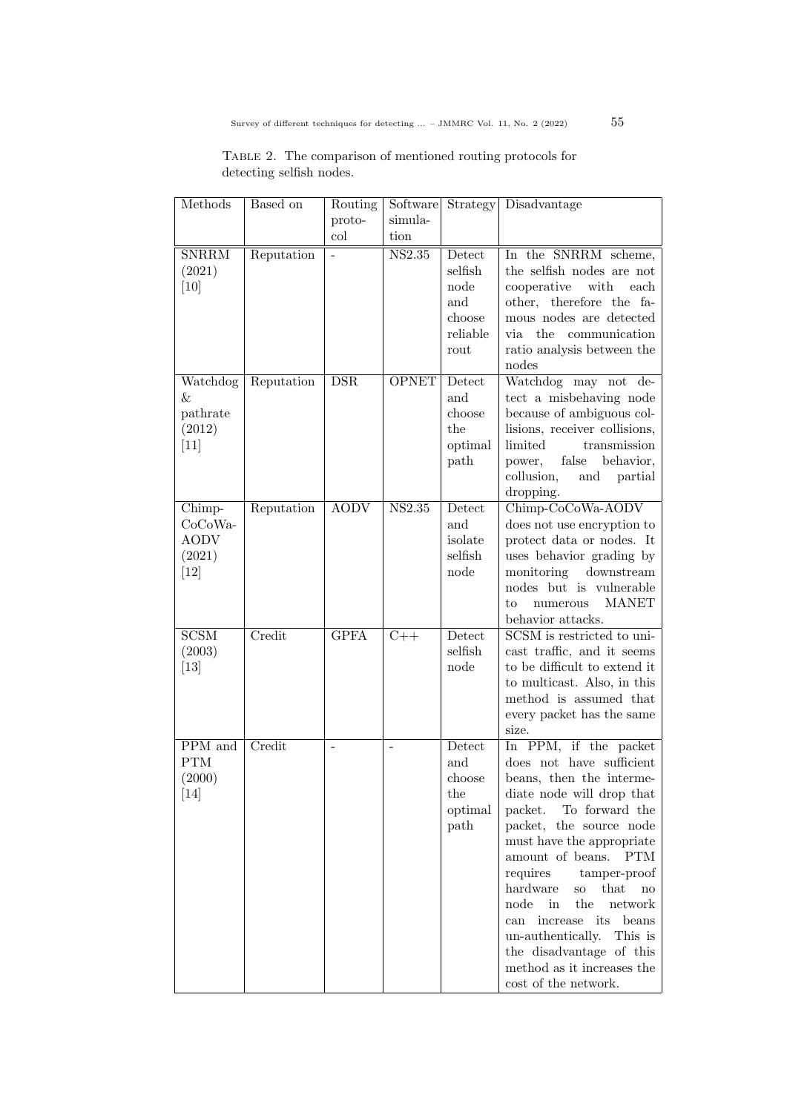| TABLE 2. The comparison of mentioned routing protocols for |  |  |  |
|------------------------------------------------------------|--|--|--|
| detecting selfish nodes.                                   |  |  |  |

| Methods                                              | Based on   | Routing        | Software                   |                                                                | Strategy   Disadvantage                                                                                                                                                                                                                                                                                                                                                                                                                                                            |
|------------------------------------------------------|------------|----------------|----------------------------|----------------------------------------------------------------|------------------------------------------------------------------------------------------------------------------------------------------------------------------------------------------------------------------------------------------------------------------------------------------------------------------------------------------------------------------------------------------------------------------------------------------------------------------------------------|
|                                                      |            | proto-         | simula-                    |                                                                |                                                                                                                                                                                                                                                                                                                                                                                                                                                                                    |
|                                                      |            | col            | tion                       |                                                                |                                                                                                                                                                                                                                                                                                                                                                                                                                                                                    |
| <b>SNRRM</b><br>(2021)<br>[10]                       | Reputation |                | $\overline{\text{NS}2.35}$ | Detect<br>selfish<br>node<br>and<br>choose<br>reliable<br>rout | In the SNRRM scheme,<br>the selfish nodes are not<br>cooperative<br>with<br>each<br>other, therefore the fa-<br>mous nodes are detected<br>via the<br>communication<br>ratio analysis between the<br>nodes                                                                                                                                                                                                                                                                         |
| Watchdog<br>&<br>pathrate<br>(2012)<br>$[11]$        | Reputation | DSR            | <b>OPNET</b>               | Detect<br>and<br>choose<br>the<br>optimal<br>path              | Watchdog may not<br>de-<br>tect a misbehaving node<br>because of ambiguous col-<br>lisions, receiver collisions,<br>limited<br>transmission<br>false<br>behavior,<br>power,<br>collusion,<br>partial<br>and<br>dropping.                                                                                                                                                                                                                                                           |
| Chimp-<br>CoCoWa-<br><b>AODV</b><br>(2021)<br>$[12]$ | Reputation | <b>AODV</b>    | NS2.35                     | Detect<br>and<br>isolate<br>selfish<br>node                    | Chimp-CoCoWa-AODV<br>does not use encryption to<br>protect data or nodes. It<br>uses behavior grading by<br>monitoring<br>${\rm downstream}$<br>nodes but is vulnerable<br><b>MANET</b><br>numerous<br>to<br>behavior attacks.                                                                                                                                                                                                                                                     |
| SCSM<br>(2003)<br>$\left[13\right]$                  | Credit     | <b>GPFA</b>    | $C++$                      | Detect<br>selfish<br>node                                      | SCSM is restricted to uni-<br>cast traffic, and it seems<br>to be difficult to extend it<br>to multicast. Also, in this<br>method is assumed that<br>every packet has the same<br>size.                                                                                                                                                                                                                                                                                            |
| PPM and<br><b>PTM</b><br>(2000)<br>$[14]$            | Credit     | $\overline{a}$ | $\overline{a}$             | Detect<br>and<br>choose<br>the<br>optimal<br>path              | In PPM, if the packet<br>does not have sufficient<br>beans, then the interme-<br>diate node will drop that<br>To forward the<br>packet.<br>packet, the source node<br>must have the appropriate<br>amount of beans.<br><b>PTM</b><br>requires<br>tamper-proof<br>hardware<br>that<br>SO<br>no<br>in<br>the<br>node<br>network<br>its<br>beans<br>increase<br>can<br>un-authentically.<br>This is<br>the disadvantage of this<br>method as it increases the<br>cost of the network. |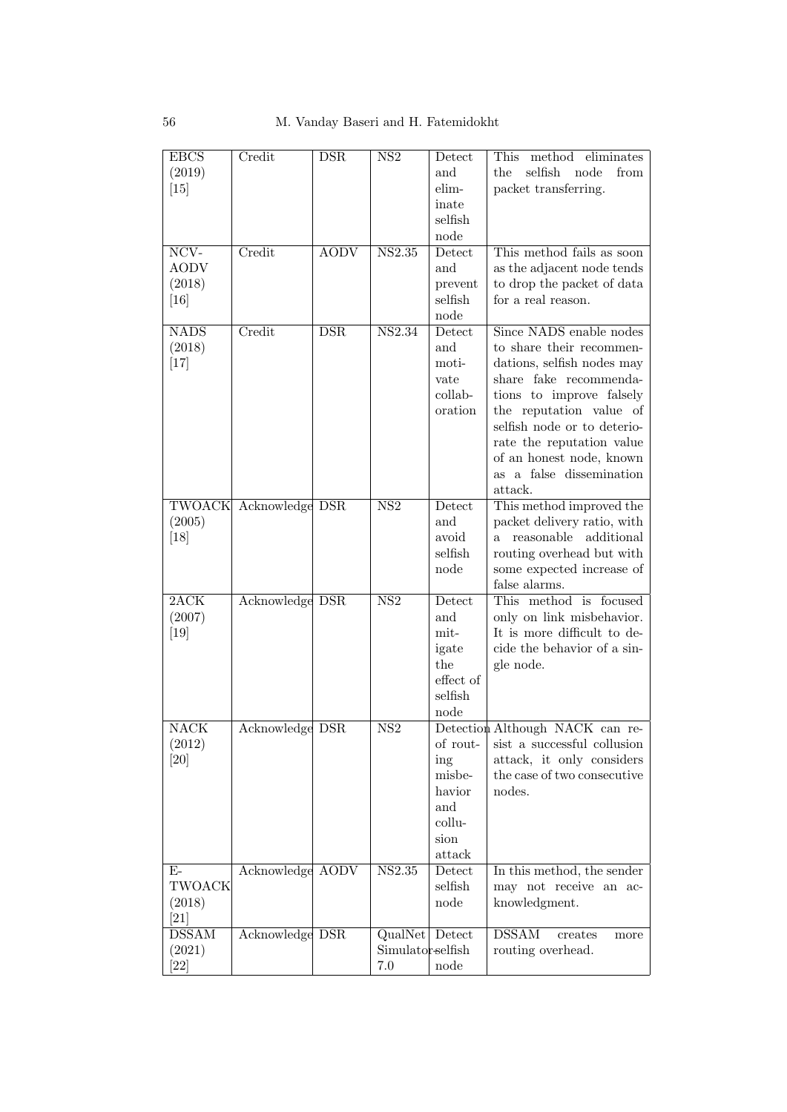| <b>EBCS</b><br>(2019)<br>[15]               | Credit                 | <b>DSR</b>  | NS <sub>2</sub>                     | Detect<br>and<br>elim-<br>inate<br>selfish<br>node                     | method eliminates<br>This<br>selfish<br>node<br>the<br>from<br>packet transferring.                                                                                                                                                                                                               |
|---------------------------------------------|------------------------|-------------|-------------------------------------|------------------------------------------------------------------------|---------------------------------------------------------------------------------------------------------------------------------------------------------------------------------------------------------------------------------------------------------------------------------------------------|
| NCV-<br><b>AODV</b><br>(2018)<br>$[16]$     | Credit                 | <b>AODV</b> | <b>NS2.35</b>                       | Detect<br>and<br>prevent<br>$\operatorname{selfish}$<br>node           | This method fails as soon<br>as the adjacent node tends<br>to drop the packet of data<br>for a real reason.                                                                                                                                                                                       |
| <b>NADS</b><br>(2018)<br>[17]               | Credit                 | DSR         | NS2.34                              | Detect<br>and<br>moti-<br>vate<br>collab-<br>oration                   | Since NADS enable nodes<br>to share their recommen-<br>dations, selfish nodes may<br>share fake recommenda-<br>tions to improve falsely<br>the reputation value of<br>selfish node or to deterio-<br>rate the reputation value<br>of an honest node, known<br>as a false dissemination<br>attack. |
| (2005)<br>[18]                              | TWOACK Acknowledge DSR |             | $\overline{\text{NS2}}$             | Detect<br>and<br>avoid<br>selfish<br>node                              | This method improved the<br>packet delivery ratio, with<br>reasonable additional<br>$a -$<br>routing overhead but with<br>some expected increase of<br>false alarms.                                                                                                                              |
| 2ACK<br>(2007)<br>$[19]$                    | Acknowledge DSR        |             | $\overline{\text{NS2}}$             | Detect<br>and<br>mit-<br>igate<br>the<br>effect of<br>selfish<br>node  | This method is focused<br>only on link misbehavior.<br>It is more difficult to de-<br>cide the behavior of a sin-<br>gle node.                                                                                                                                                                    |
| NACK<br>(2012)<br>[20]                      | Acknowledge DSR        |             | $\overline{\text{NS2}}$             | of rout-<br>ing<br>misbe-<br>havior<br>and<br>collu-<br>sion<br>attack | Detection Although NACK can re-<br>sist a successful collusion<br>attack, it only considers<br>the case of two consecutive<br>nodes.                                                                                                                                                              |
| $E-$<br><b>TWOACK</b><br>(2018)<br>[21]     | Acknowledge AODV       |             | NS2.35                              | Detect<br>selfish<br>node                                              | In this method, the sender<br>may not receive an ac-<br>knowledgment.                                                                                                                                                                                                                             |
| $\overline{\mathrm{DSSAM}}$<br>(2021)<br>22 | Acknowledge DSR        |             | QualNet<br>Simulator-selfish<br>7.0 | Detect<br>node                                                         | <b>DSSAM</b><br>creates<br>more<br>routing overhead.                                                                                                                                                                                                                                              |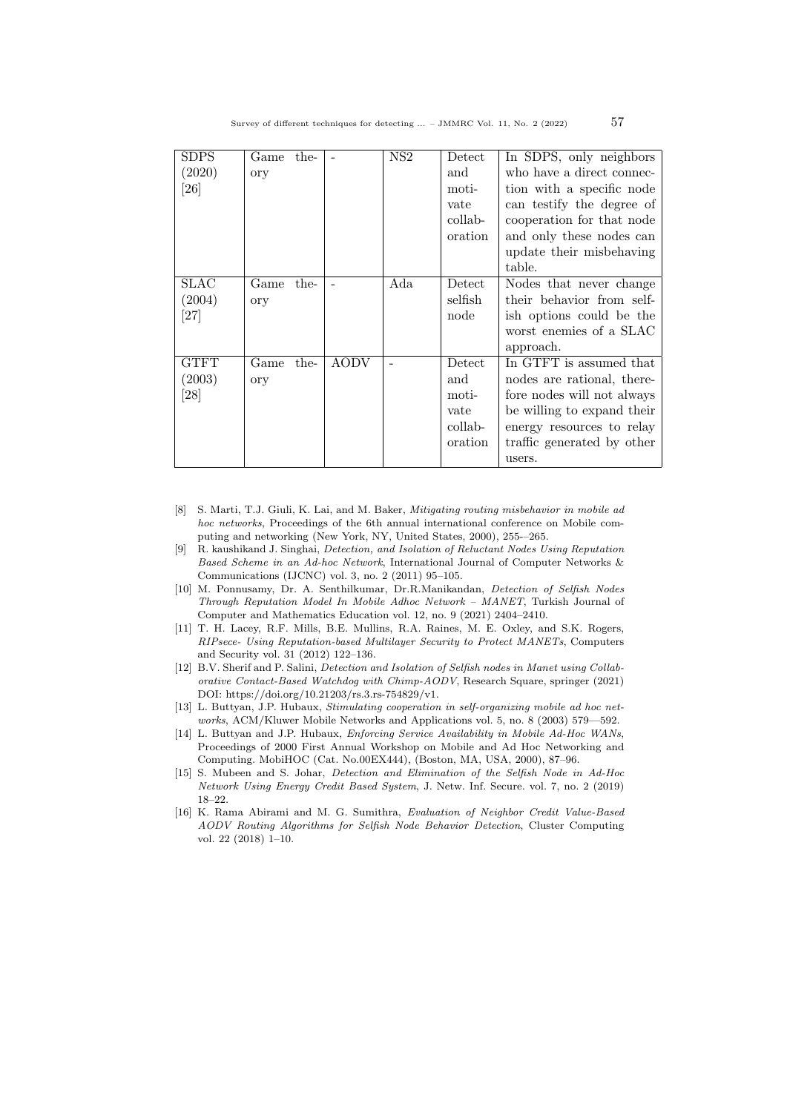| <b>SDPS</b><br>(2020)<br>[26] | Game<br>ory | the- |             | NS <sub>2</sub> | Detect<br>and<br>moti-<br>vate<br>collab-<br>oration | In SDPS, only neighbors<br>who have a direct connec-<br>tion with a specific node<br>can testify the degree of<br>cooperation for that node<br>and only these nodes can<br>update their misbehaving<br>table. |
|-------------------------------|-------------|------|-------------|-----------------|------------------------------------------------------|---------------------------------------------------------------------------------------------------------------------------------------------------------------------------------------------------------------|
| SLAC<br>(2004)<br>[27]        | Game<br>ory | the- |             | Ada             | Detect<br>selfish<br>node                            | Nodes that never change<br>their behavior from self-<br>ish options could be the<br>worst enemies of a SLAC<br>approach.                                                                                      |
| <b>GTFT</b><br>(2003)<br>[28] | Game<br>ory | the- | <b>AODV</b> |                 | Detect<br>and<br>moti-<br>vate<br>collab-<br>oration | In GTFT is assumed that<br>nodes are rational, there-<br>fore nodes will not always<br>be willing to expand their<br>energy resources to relay<br>traffic generated by other<br>users.                        |

- [8] S. Marti, T.J. Giuli, K. Lai, and M. Baker, Mitigating routing misbehavior in mobile ad hoc networks, Proceedings of the 6th annual international conference on Mobile computing and networking (New York, NY, United States, 2000), 255-–265.
- [9] R. kaushikand J. Singhai, Detection, and Isolation of Reluctant Nodes Using Reputation Based Scheme in an Ad-hoc Network, International Journal of Computer Networks & Communications (IJCNC) vol. 3, no. 2 (2011) 95–105.
- [10] M. Ponnusamy, Dr. A. Senthilkumar, Dr.R.Manikandan, Detection of Selfish Nodes Through Reputation Model In Mobile Adhoc Network – MANET, Turkish Journal of Computer and Mathematics Education vol. 12, no. 9 (2021) 2404–2410.
- [11] T. H. Lacey, R.F. Mills, B.E. Mullins, R.A. Raines, M. E. Oxley, and S.K. Rogers, RIPsece- Using Reputation-based Multilayer Security to Protect MANETs, Computers and Security vol. 31 (2012) 122–136.
- [12] B.V. Sherif and P. Salini, Detection and Isolation of Selfish nodes in Manet using Collaborative Contact-Based Watchdog with Chimp-AODV, Research Square, springer (2021) DOI: https://doi.org/10.21203/rs.3.rs-754829/v1.
- [13] L. Buttyan, J.P. Hubaux, Stimulating cooperation in self-organizing mobile ad hoc networks, ACM/Kluwer Mobile Networks and Applications vol. 5, no. 8 (2003) 579—592.
- [14] L. Buttyan and J.P. Hubaux, Enforcing Service Availability in Mobile Ad-Hoc WANs, Proceedings of 2000 First Annual Workshop on Mobile and Ad Hoc Networking and Computing. MobiHOC (Cat. No.00EX444), (Boston, MA, USA, 2000), 87–96.
- [15] S. Mubeen and S. Johar, *Detection and Elimination of the Selfish Node in Ad-Hoc* Network Using Energy Credit Based System, J. Netw. Inf. Secure. vol. 7, no. 2 (2019) 18–22.
- [16] K. Rama Abirami and M. G. Sumithra, Evaluation of Neighbor Credit Value-Based AODV Routing Algorithms for Selfish Node Behavior Detection, Cluster Computing vol. 22 (2018) 1–10.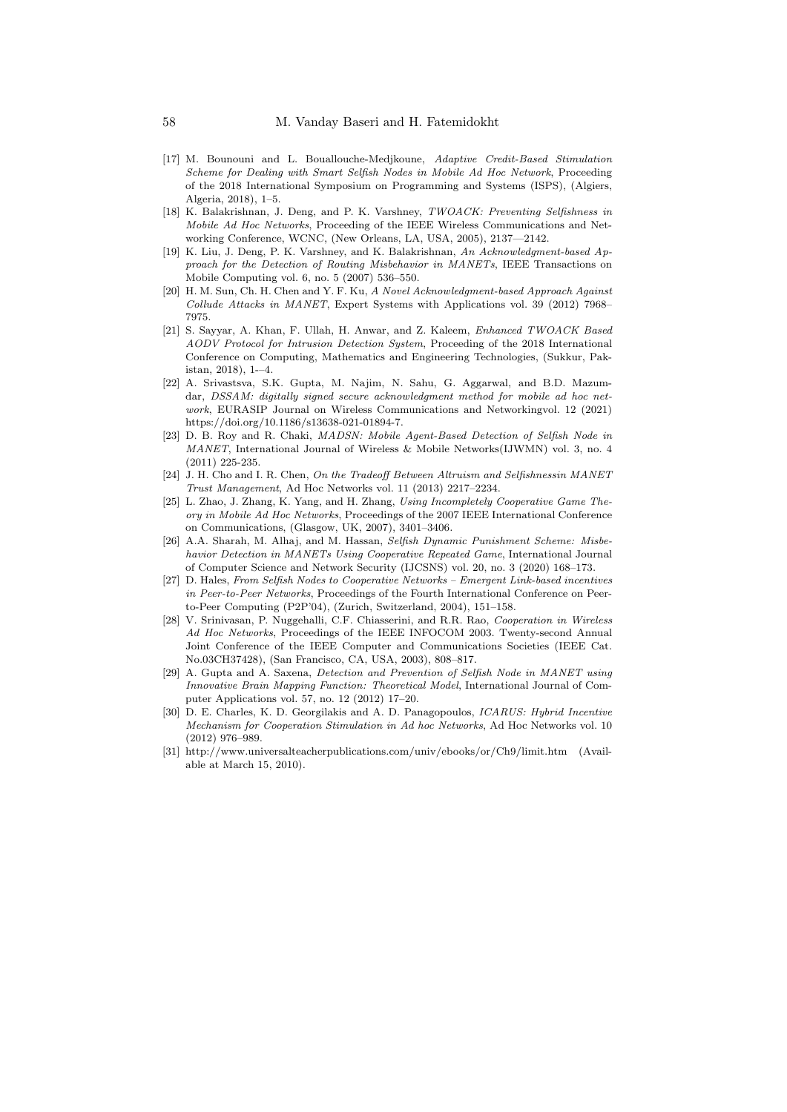- [17] M. Bounouni and L. Bouallouche-Medjkoune, Adaptive Credit-Based Stimulation Scheme for Dealing with Smart Selfish Nodes in Mobile Ad Hoc Network, Proceeding of the 2018 International Symposium on Programming and Systems (ISPS), (Algiers, Algeria, 2018), 1–5.
- [18] K. Balakrishnan, J. Deng, and P. K. Varshney, TWOACK: Preventing Selfishness in Mobile Ad Hoc Networks, Proceeding of the IEEE Wireless Communications and Networking Conference, WCNC, (New Orleans, LA, USA, 2005), 2137—2142.
- [19] K. Liu, J. Deng, P. K. Varshney, and K. Balakrishnan, An Acknowledgment-based Approach for the Detection of Routing Misbehavior in MANETs, IEEE Transactions on Mobile Computing vol. 6, no. 5 (2007) 536–550.
- [20] H. M. Sun, Ch. H. Chen and Y. F. Ku, A Novel Acknowledgment-based Approach Against Collude Attacks in MANET, Expert Systems with Applications vol. 39 (2012) 7968– 7975.
- [21] S. Sayyar, A. Khan, F. Ullah, H. Anwar, and Z. Kaleem, Enhanced TWOACK Based AODV Protocol for Intrusion Detection System, Proceeding of the 2018 International Conference on Computing, Mathematics and Engineering Technologies, (Sukkur, Pakistan, 2018), 1-–4.
- [22] A. Srivastsva, S.K. Gupta, M. Najim, N. Sahu, G. Aggarwal, and B.D. Mazumdar, DSSAM: digitally signed secure acknowledgment method for mobile ad hoc network, EURASIP Journal on Wireless Communications and Networkingvol. 12 (2021) https://doi.org/10.1186/s13638-021-01894-7.
- [23] D. B. Roy and R. Chaki, MADSN: Mobile Agent-Based Detection of Selfish Node in MANET, International Journal of Wireless & Mobile Networks(IJWMN) vol. 3, no. 4 (2011) 225-235.
- [24] J. H. Cho and I. R. Chen, On the Tradeoff Between Altruism and Selfishnessin MANET Trust Management, Ad Hoc Networks vol. 11 (2013) 2217–2234.
- [25] L. Zhao, J. Zhang, K. Yang, and H. Zhang, Using Incompletely Cooperative Game Theory in Mobile Ad Hoc Networks, Proceedings of the 2007 IEEE International Conference on Communications, (Glasgow, UK, 2007), 3401–3406.
- [26] A.A. Sharah, M. Alhaj, and M. Hassan, Selfish Dynamic Punishment Scheme: Misbehavior Detection in MANETs Using Cooperative Repeated Game, International Journal of Computer Science and Network Security (IJCSNS) vol. 20, no. 3 (2020) 168–173.
- [27] D. Hales, From Selfish Nodes to Cooperative Networks Emergent Link-based incentives in Peer-to-Peer Networks, Proceedings of the Fourth International Conference on Peerto-Peer Computing (P2P'04), (Zurich, Switzerland, 2004), 151–158.
- [28] V. Srinivasan, P. Nuggehalli, C.F. Chiasserini, and R.R. Rao, Cooperation in Wireless Ad Hoc Networks, Proceedings of the IEEE INFOCOM 2003. Twenty-second Annual Joint Conference of the IEEE Computer and Communications Societies (IEEE Cat. No.03CH37428), (San Francisco, CA, USA, 2003), 808–817.
- [29] A. Gupta and A. Saxena, Detection and Prevention of Selfish Node in MANET using Innovative Brain Mapping Function: Theoretical Model, International Journal of Computer Applications vol. 57, no. 12 (2012) 17–20.
- [30] D. E. Charles, K. D. Georgilakis and A. D. Panagopoulos, ICARUS: Hybrid Incentive Mechanism for Cooperation Stimulation in Ad hoc Networks, Ad Hoc Networks vol. 10 (2012) 976–989.
- [31] http://www.universalteacherpublications.com/univ/ebooks/or/Ch9/limit.htm (Available at March 15, 2010).